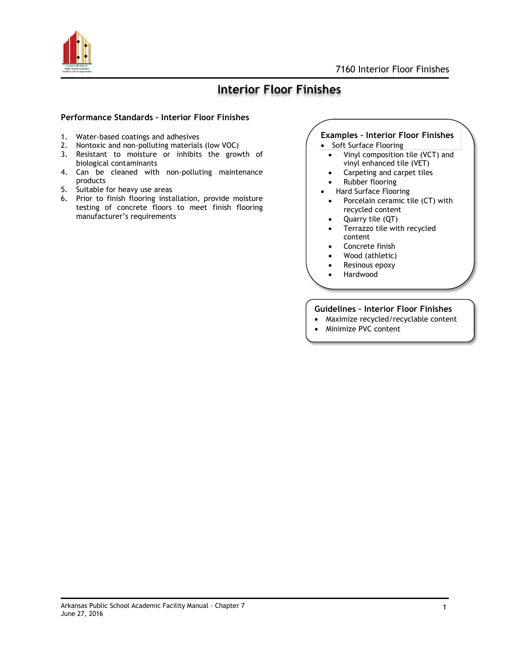

## **Interior Floor Finishes**

#### **Performance Standards – Interior Floor Finishes**

- 1. Water-based coatings and adhesives
- 2. Nontoxic and non-polluting materials (low VOC)
- 3. Resistant to moisture or inhibits the growth of biological contaminants
- 4. Can be cleaned with non-polluting maintenance products
- 5. Suitable for heavy use areas
- 6. Prior to finish flooring installation, provide moisture testing of concrete floors to meet finish flooring manufacturer's requirements

## **Examples – Interior Floor Finishes**

- Soft Surface Flooring
	- Vinyl composition tile (VCT) and vinyl enhanced tile (VET)
	- Carpeting and carpet tiles
- Rubber flooring
- Hard Surface Flooring
- Porcelain ceramic tile (CT) with recycled content
- Quarry tile (QT)
- Terrazzo tile with recycled content
- Concrete finish
- Wood (athletic)
- Resinous epoxy
- Hardwood

### **Guidelines – Interior Floor Finishes**

- Maximize recycled/recyclable content
- Minimize PVC content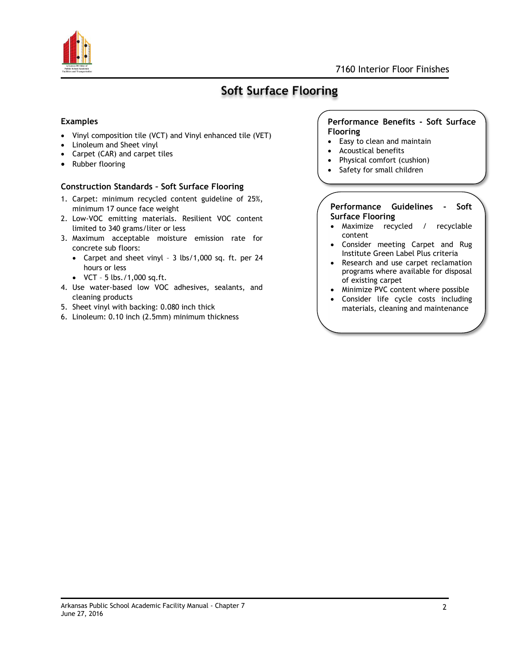

# **Soft Surface Flooring**

#### **Examples**

- Vinyl composition tile (VCT) and Vinyl enhanced tile (VET)
- Linoleum and Sheet vinyl
- Carpet (CAR) and carpet tiles
- Rubber flooring

#### **Construction Standards – Soft Surface Flooring**

- 1. Carpet: minimum recycled content guideline of 25%, minimum 17 ounce face weight
- 2. Low-VOC emitting materials. Resilient VOC content limited to 340 grams/liter or less
- 3. Maximum acceptable moisture emission rate for concrete sub floors:
	- Carpet and sheet vinyl 3 lbs/1,000 sq. ft. per 24 hours or less
	- $\bullet$  VCT 5 lbs./1,000 sq.ft.
- 4. Use water-based low VOC adhesives, sealants, and cleaning products
- 5. Sheet vinyl with backing: 0.080 inch thick
- 6. Linoleum: 0.10 inch (2.5mm) minimum thickness

#### **Performance Benefits - Soft Surface Flooring**

- Easy to clean and maintain
- Acoustical benefits
- Physical comfort (cushion)
- Safety for small children

#### **Performance Guidelines - Soft Surface Flooring**

- Maximize recycled / recyclable content
- Consider meeting Carpet and Rug Institute Green Label Plus criteria
- Research and use carpet reclamation programs where available for disposal of existing carpet
- Minimize PVC content where possible
- Consider life cycle costs including materials, cleaning and maintenance